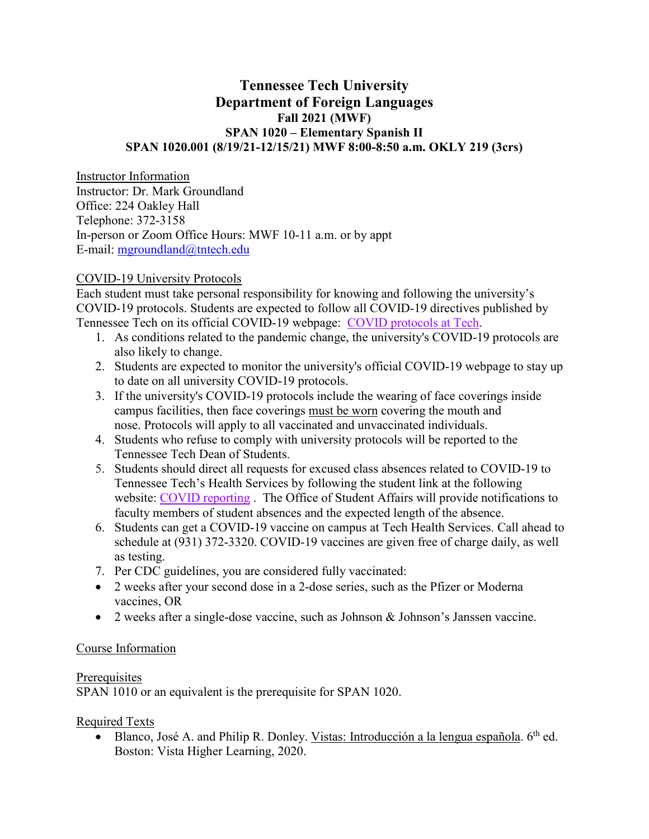# **Tennessee Tech University Department of Foreign Languages Fall 2021 (MWF) SPAN 1020 – Elementary Spanish II SPAN 1020.001 (8/19/21-12/15/21) MWF 8:00-8:50 a.m. OKLY 219 (3crs)**

Instructor Information Instructor: Dr. Mark Groundland Office: 224 Oakley Hall Telephone: 372-3158 In-person or Zoom Office Hours: MWF 10-11 a.m. or by appt E-mail: [mgroundland@tntech.edu](mailto:mgroundland@tntech.edu)

### COVID-19 University Protocols

Each student must take personal responsibility for knowing and following the university's COVID-19 protocols. Students are expected to follow all COVID-19 directives published by Tennessee Tech on its official COVID-19 webpage: COVID [protocols at Tech.](http://www.tntech.edu/covid19)

- 1. As conditions related to the pandemic change, the university's COVID-19 protocols are also likely to change.
- 2. Students are expected to monitor the university's official COVID-19 webpage to stay up to date on all university COVID-19 protocols.
- 3. If the university's COVID-19 protocols include the wearing of face coverings inside campus facilities, then face coverings must be worn covering the mouth and nose. Protocols will apply to all vaccinated and unvaccinated individuals.
- 4. Students who refuse to comply with university protocols will be reported to the Tennessee Tech Dean of Students.
- 5. Students should direct all requests for excused class absences related to COVID-19 to Tennessee Tech's Health Services by following the student link at the following website: COVID [reporting](http://www.tntech.edu/covid19/report.php) . The Office of Student Affairs will provide notifications to faculty members of student absences and the expected length of the absence.
- 6. Students can get a COVID-19 vaccine on campus at Tech Health Services. Call ahead to schedule at (931) 372-3320. COVID-19 vaccines are given free of charge daily, as well as testing.
- 7. Per CDC guidelines, you are considered fully vaccinated:
- 2 weeks after your second dose in a 2-dose series, such as the Pfizer or Moderna vaccines, OR
- 2 weeks after a single-dose vaccine, such as Johnson & Johnson's Janssen vaccine.

## Course Information

### **Prerequisites**

SPAN 1010 or an equivalent is the prerequisite for SPAN 1020.

## Required Texts

• Blanco, José A. and Philip R. Donley. Vistas: Introducción a la lengua española.  $6<sup>th</sup>$  ed. Boston: Vista Higher Learning, 2020.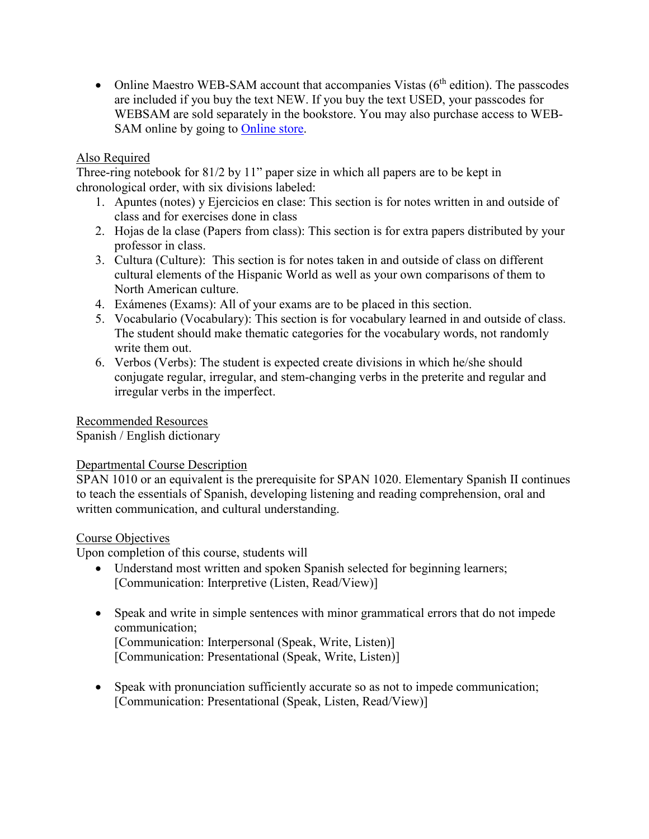• Online Maestro WEB-SAM account that accompanies Vistas  $(6<sup>th</sup>$  edition). The passcodes are included if you buy the text NEW. If you buy the text USED, your passcodes for WEBSAM are sold separately in the bookstore. You may also purchase access to WEB-SAM online by going to [Online store.](http://vistahigherlearning.com/store/tntech.htm/)

# Also Required

Three-ring notebook for 81/2 by 11" paper size in which all papers are to be kept in chronological order, with six divisions labeled:

- 1. Apuntes (notes) y Ejercicios en clase: This section is for notes written in and outside of class and for exercises done in class
- 2. Hojas de la clase (Papers from class): This section is for extra papers distributed by your professor in class.
- 3. Cultura (Culture): This section is for notes taken in and outside of class on different cultural elements of the Hispanic World as well as your own comparisons of them to North American culture.
- 4. Exámenes (Exams): All of your exams are to be placed in this section.
- 5. Vocabulario (Vocabulary): This section is for vocabulary learned in and outside of class. The student should make thematic categories for the vocabulary words, not randomly write them out.
- 6. Verbos (Verbs): The student is expected create divisions in which he/she should conjugate regular, irregular, and stem-changing verbs in the preterite and regular and irregular verbs in the imperfect.

## Recommended Resources

Spanish / English dictionary

## Departmental Course Description

SPAN 1010 or an equivalent is the prerequisite for SPAN 1020. Elementary Spanish II continues to teach the essentials of Spanish, developing listening and reading comprehension, oral and written communication, and cultural understanding.

## Course Objectives

Upon completion of this course, students will

- Understand most written and spoken Spanish selected for beginning learners; [Communication: Interpretive (Listen, Read/View)]
- Speak and write in simple sentences with minor grammatical errors that do not impede communication; [Communication: Interpersonal (Speak, Write, Listen)] [Communication: Presentational (Speak, Write, Listen)]
- Speak with pronunciation sufficiently accurate so as not to impede communication; [Communication: Presentational (Speak, Listen, Read/View)]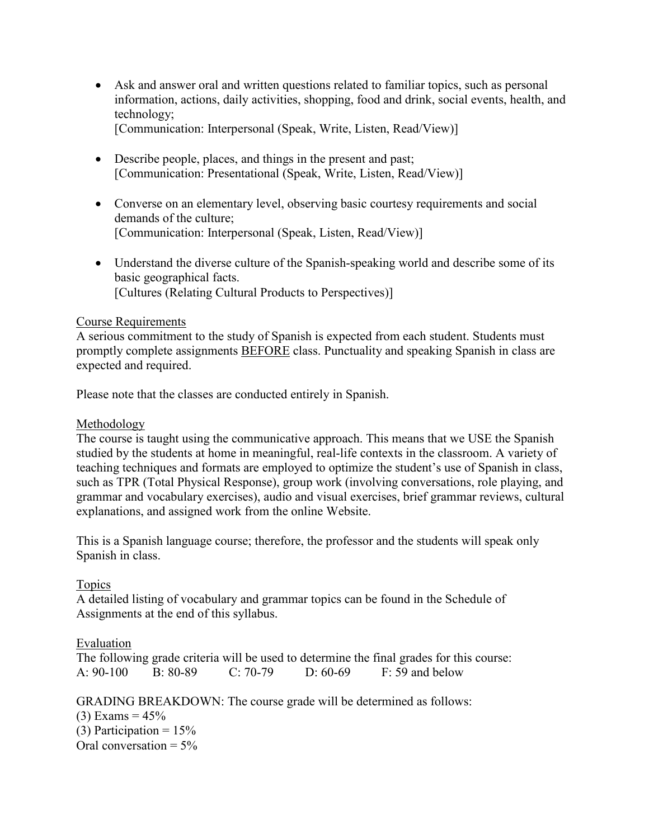• Ask and answer oral and written questions related to familiar topics, such as personal information, actions, daily activities, shopping, food and drink, social events, health, and technology;

[Communication: Interpersonal (Speak, Write, Listen, Read/View)]

- Describe people, places, and things in the present and past; [Communication: Presentational (Speak, Write, Listen, Read/View)]
- Converse on an elementary level, observing basic courtesy requirements and social demands of the culture; [Communication: Interpersonal (Speak, Listen, Read/View)]
- Understand the diverse culture of the Spanish-speaking world and describe some of its basic geographical facts. [Cultures (Relating Cultural Products to Perspectives)]

### Course Requirements

A serious commitment to the study of Spanish is expected from each student. Students must promptly complete assignments BEFORE class. Punctuality and speaking Spanish in class are expected and required.

Please note that the classes are conducted entirely in Spanish.

### Methodology

The course is taught using the communicative approach. This means that we USE the Spanish studied by the students at home in meaningful, real-life contexts in the classroom. A variety of teaching techniques and formats are employed to optimize the student's use of Spanish in class, such as TPR (Total Physical Response), group work (involving conversations, role playing, and grammar and vocabulary exercises), audio and visual exercises, brief grammar reviews, cultural explanations, and assigned work from the online Website.

This is a Spanish language course; therefore, the professor and the students will speak only Spanish in class.

### Topics

A detailed listing of vocabulary and grammar topics can be found in the Schedule of Assignments at the end of this syllabus.

## Evaluation

The following grade criteria will be used to determine the final grades for this course: A: 90-100 B: 80-89 C: 70-79 D: 60-69 F: 59 and below

GRADING BREAKDOWN: The course grade will be determined as follows:

(3) Exams =  $45%$ (3) Participation =  $15%$ Oral conversation  $= 5\%$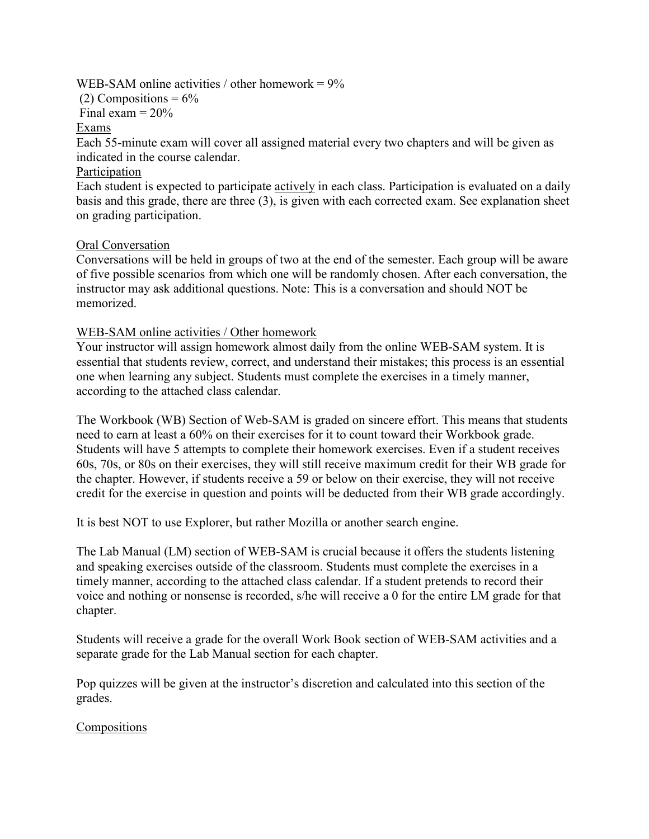### WEB-SAM online activities / other homework  $= 9\%$

(2) Compositions =  $6\%$ 

Final exam  $= 20\%$ 

### Exams

Each 55-minute exam will cover all assigned material every two chapters and will be given as indicated in the course calendar.

## Participation

Each student is expected to participate actively in each class. Participation is evaluated on a daily basis and this grade, there are three (3), is given with each corrected exam. See explanation sheet on grading participation.

## Oral Conversation

Conversations will be held in groups of two at the end of the semester. Each group will be aware of five possible scenarios from which one will be randomly chosen. After each conversation, the instructor may ask additional questions. Note: This is a conversation and should NOT be memorized.

## WEB-SAM online activities / Other homework

Your instructor will assign homework almost daily from the online WEB-SAM system. It is essential that students review, correct, and understand their mistakes; this process is an essential one when learning any subject. Students must complete the exercises in a timely manner, according to the attached class calendar.

The Workbook (WB) Section of Web-SAM is graded on sincere effort. This means that students need to earn at least a 60% on their exercises for it to count toward their Workbook grade. Students will have 5 attempts to complete their homework exercises. Even if a student receives 60s, 70s, or 80s on their exercises, they will still receive maximum credit for their WB grade for the chapter. However, if students receive a 59 or below on their exercise, they will not receive credit for the exercise in question and points will be deducted from their WB grade accordingly.

It is best NOT to use Explorer, but rather Mozilla or another search engine.

The Lab Manual (LM) section of WEB-SAM is crucial because it offers the students listening and speaking exercises outside of the classroom. Students must complete the exercises in a timely manner, according to the attached class calendar. If a student pretends to record their voice and nothing or nonsense is recorded, s/he will receive a 0 for the entire LM grade for that chapter.

Students will receive a grade for the overall Work Book section of WEB-SAM activities and a separate grade for the Lab Manual section for each chapter.

Pop quizzes will be given at the instructor's discretion and calculated into this section of the grades.

## Compositions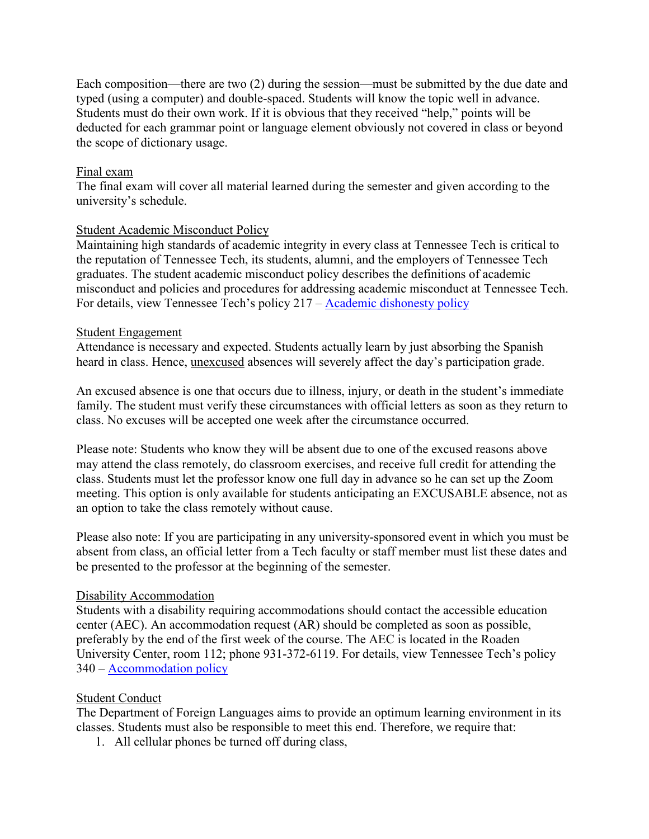Each composition—there are two (2) during the session—must be submitted by the due date and typed (using a computer) and double-spaced. Students will know the topic well in advance. Students must do their own work. If it is obvious that they received "help," points will be deducted for each grammar point or language element obviously not covered in class or beyond the scope of dictionary usage.

#### Final exam

The final exam will cover all material learned during the semester and given according to the university's schedule.

#### Student Academic Misconduct Policy

Maintaining high standards of academic integrity in every class at Tennessee Tech is critical to the reputation of Tennessee Tech, its students, alumni, and the employers of Tennessee Tech graduates. The student academic misconduct policy describes the definitions of academic misconduct and policies and procedures for addressing academic misconduct at Tennessee Tech. For details, view Tennessee Tech's policy 217 – [Academic dishonesty policy](https://tntech.policytech.com/dotNet/documents/?docid=701)

#### Student Engagement

Attendance is necessary and expected. Students actually learn by just absorbing the Spanish heard in class. Hence, unexcused absences will severely affect the day's participation grade.

An excused absence is one that occurs due to illness, injury, or death in the student's immediate family. The student must verify these circumstances with official letters as soon as they return to class. No excuses will be accepted one week after the circumstance occurred.

Please note: Students who know they will be absent due to one of the excused reasons above may attend the class remotely, do classroom exercises, and receive full credit for attending the class. Students must let the professor know one full day in advance so he can set up the Zoom meeting. This option is only available for students anticipating an EXCUSABLE absence, not as an option to take the class remotely without cause.

Please also note: If you are participating in any university-sponsored event in which you must be absent from class, an official letter from a Tech faculty or staff member must list these dates and be presented to the professor at the beginning of the semester.

#### Disability Accommodation

Students with a disability requiring accommodations should contact the accessible education center (AEC). An accommodation request (AR) should be completed as soon as possible, preferably by the end of the first week of the course. The AEC is located in the Roaden University Center, room 112; phone 931-372-6119. For details, view Tennessee Tech's policy 340 – [Accommodation policy](https://tntech.policytech.com/dotNet/documents/?docid=1131&public=true)

#### Student Conduct

The Department of Foreign Languages aims to provide an optimum learning environment in its classes. Students must also be responsible to meet this end. Therefore, we require that:

1. All cellular phones be turned off during class,